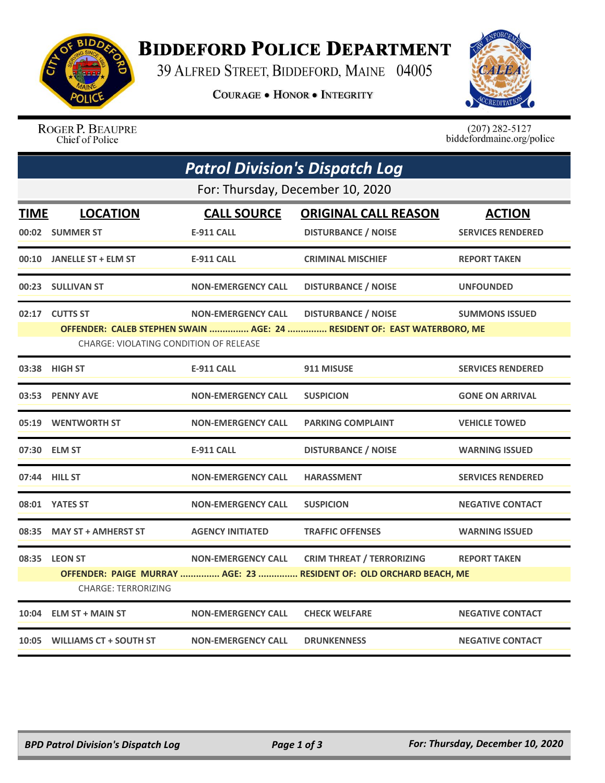

## **BIDDEFORD POLICE DEPARTMENT**

39 ALFRED STREET, BIDDEFORD, MAINE 04005

**COURAGE . HONOR . INTEGRITY** 



ROGER P. BEAUPRE Chief of Police

 $(207)$  282-5127<br>biddefordmaine.org/police

| <b>Patrol Division's Dispatch Log</b> |                                                                                                                                                                                                                                |                                         |                                                                                                         |                                           |  |  |  |
|---------------------------------------|--------------------------------------------------------------------------------------------------------------------------------------------------------------------------------------------------------------------------------|-----------------------------------------|---------------------------------------------------------------------------------------------------------|-------------------------------------------|--|--|--|
|                                       | For: Thursday, December 10, 2020                                                                                                                                                                                               |                                         |                                                                                                         |                                           |  |  |  |
| <b>TIME</b>                           | <b>LOCATION</b><br>00:02 SUMMER ST                                                                                                                                                                                             | <b>CALL SOURCE</b><br><b>E-911 CALL</b> | <b>ORIGINAL CALL REASON</b><br><b>DISTURBANCE / NOISE</b>                                               | <b>ACTION</b><br><b>SERVICES RENDERED</b> |  |  |  |
|                                       | 00:10 JANELLE ST + ELM ST                                                                                                                                                                                                      | <b>E-911 CALL</b>                       | <b>CRIMINAL MISCHIEF</b>                                                                                | <b>REPORT TAKEN</b>                       |  |  |  |
|                                       | 00:23 SULLIVAN ST                                                                                                                                                                                                              | <b>NON-EMERGENCY CALL</b>               | <b>DISTURBANCE / NOISE</b>                                                                              | <b>UNFOUNDED</b>                          |  |  |  |
|                                       | 02:17 CUTTS ST<br><b>NON-EMERGENCY CALL</b><br><b>DISTURBANCE / NOISE</b><br><b>SUMMONS ISSUED</b><br>OFFENDER: CALEB STEPHEN SWAIN  AGE: 24  RESIDENT OF: EAST WATERBORO, ME<br><b>CHARGE: VIOLATING CONDITION OF RELEASE</b> |                                         |                                                                                                         |                                           |  |  |  |
|                                       | 03:38 HIGH ST                                                                                                                                                                                                                  | <b>E-911 CALL</b>                       | 911 MISUSE                                                                                              | <b>SERVICES RENDERED</b>                  |  |  |  |
|                                       | 03:53 PENNY AVE                                                                                                                                                                                                                | <b>NON-EMERGENCY CALL</b>               | <b>SUSPICION</b>                                                                                        | <b>GONE ON ARRIVAL</b>                    |  |  |  |
|                                       | 05:19 WENTWORTH ST                                                                                                                                                                                                             | <b>NON-EMERGENCY CALL</b>               | <b>PARKING COMPLAINT</b>                                                                                | <b>VEHICLE TOWED</b>                      |  |  |  |
|                                       | 07:30 ELM ST                                                                                                                                                                                                                   | <b>E-911 CALL</b>                       | <b>DISTURBANCE / NOISE</b>                                                                              | <b>WARNING ISSUED</b>                     |  |  |  |
|                                       | 07:44 HILL ST                                                                                                                                                                                                                  | <b>NON-EMERGENCY CALL</b>               | <b>HARASSMENT</b>                                                                                       | <b>SERVICES RENDERED</b>                  |  |  |  |
|                                       | 08:01 YATES ST                                                                                                                                                                                                                 | <b>NON-EMERGENCY CALL</b>               | <b>SUSPICION</b>                                                                                        | <b>NEGATIVE CONTACT</b>                   |  |  |  |
| 08:35                                 | <b>MAY ST + AMHERST ST</b>                                                                                                                                                                                                     | <b>AGENCY INITIATED</b>                 | <b>TRAFFIC OFFENSES</b>                                                                                 | <b>WARNING ISSUED</b>                     |  |  |  |
|                                       | 08:35 LEON ST<br><b>CHARGE: TERRORIZING</b>                                                                                                                                                                                    | <b>NON-EMERGENCY CALL</b>               | <b>CRIM THREAT / TERRORIZING</b><br>OFFENDER: PAIGE MURRAY  AGE: 23  RESIDENT OF: OLD ORCHARD BEACH, ME | <b>REPORT TAKEN</b>                       |  |  |  |
| 10:04                                 | <b>ELM ST + MAIN ST</b>                                                                                                                                                                                                        | <b>NON-EMERGENCY CALL</b>               | <b>CHECK WELFARE</b>                                                                                    | <b>NEGATIVE CONTACT</b>                   |  |  |  |
|                                       | 10:05 WILLIAMS CT + SOUTH ST                                                                                                                                                                                                   | <b>NON-EMERGENCY CALL</b>               | <b>DRUNKENNESS</b>                                                                                      | <b>NEGATIVE CONTACT</b>                   |  |  |  |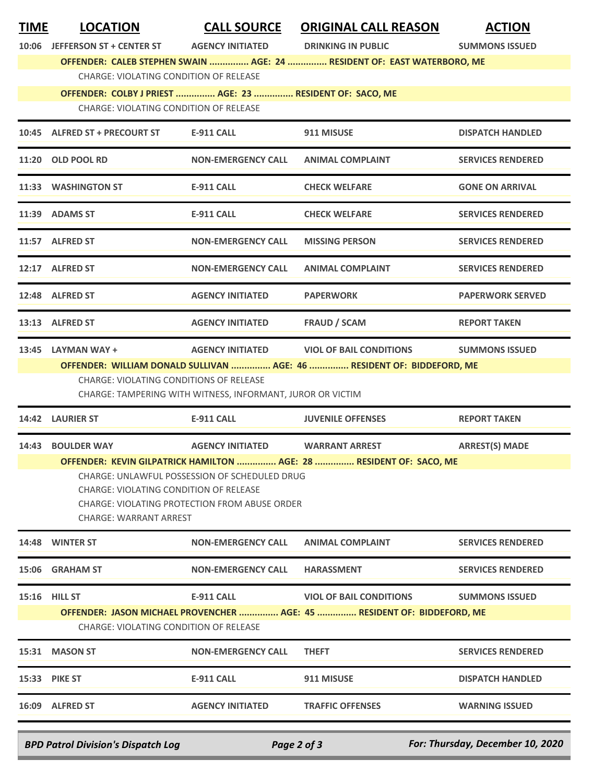| <b>TIME</b> | <b>LOCATION</b>                                                                                           | <b>CALL SOURCE</b>                                         | <b>ORIGINAL CALL REASON</b>                                             | <b>ACTION</b>            |  |  |  |
|-------------|-----------------------------------------------------------------------------------------------------------|------------------------------------------------------------|-------------------------------------------------------------------------|--------------------------|--|--|--|
| 10:06       | <b>JEFFERSON ST + CENTER ST</b>                                                                           | <b>AGENCY INITIATED</b>                                    | <b>DRINKING IN PUBLIC</b>                                               | <b>SUMMONS ISSUED</b>    |  |  |  |
|             | OFFENDER: CALEB STEPHEN SWAIN  AGE: 24  RESIDENT OF: EAST WATERBORO, ME                                   |                                                            |                                                                         |                          |  |  |  |
|             | <b>CHARGE: VIOLATING CONDITION OF RELEASE</b>                                                             |                                                            |                                                                         |                          |  |  |  |
|             | OFFENDER: COLBY J PRIEST  AGE: 23  RESIDENT OF: SACO, ME<br><b>CHARGE: VIOLATING CONDITION OF RELEASE</b> |                                                            |                                                                         |                          |  |  |  |
|             |                                                                                                           |                                                            |                                                                         |                          |  |  |  |
|             | 10:45 ALFRED ST + PRECOURT ST                                                                             | <b>E-911 CALL</b>                                          | 911 MISUSE                                                              | <b>DISPATCH HANDLED</b>  |  |  |  |
|             | 11:20 OLD POOL RD                                                                                         | <b>NON-EMERGENCY CALL</b>                                  | <b>ANIMAL COMPLAINT</b>                                                 | <b>SERVICES RENDERED</b> |  |  |  |
|             | 11:33 WASHINGTON ST                                                                                       | <b>E-911 CALL</b>                                          | <b>CHECK WELFARE</b>                                                    | <b>GONE ON ARRIVAL</b>   |  |  |  |
|             | 11:39 ADAMS ST                                                                                            | <b>E-911 CALL</b>                                          | <b>CHECK WELFARE</b>                                                    | <b>SERVICES RENDERED</b> |  |  |  |
|             | 11:57 ALFRED ST                                                                                           | <b>NON-EMERGENCY CALL</b>                                  | <b>MISSING PERSON</b>                                                   | <b>SERVICES RENDERED</b> |  |  |  |
|             | 12:17 ALFRED ST                                                                                           | <b>NON-EMERGENCY CALL</b>                                  | <b>ANIMAL COMPLAINT</b>                                                 | <b>SERVICES RENDERED</b> |  |  |  |
|             | 12:48 ALFRED ST                                                                                           | <b>AGENCY INITIATED</b>                                    | <b>PAPERWORK</b>                                                        | <b>PAPERWORK SERVED</b>  |  |  |  |
|             | 13:13 ALFRED ST                                                                                           | <b>AGENCY INITIATED</b>                                    | <b>FRAUD / SCAM</b>                                                     | <b>REPORT TAKEN</b>      |  |  |  |
|             | 13:45 LAYMAN WAY +                                                                                        | <b>AGENCY INITIATED</b>                                    | <b>VIOL OF BAIL CONDITIONS</b>                                          | <b>SUMMONS ISSUED</b>    |  |  |  |
|             | <b>CHARGE: VIOLATING CONDITIONS OF RELEASE</b>                                                            |                                                            | OFFENDER: WILLIAM DONALD SULLIVAN  AGE: 46  RESIDENT OF: BIDDEFORD, ME  |                          |  |  |  |
|             |                                                                                                           | CHARGE: TAMPERING WITH WITNESS, INFORMANT, JUROR OR VICTIM |                                                                         |                          |  |  |  |
|             | 14:42 LAURIER ST                                                                                          | E-911 CALL                                                 | <b>JUVENILE OFFENSES</b>                                                | <b>REPORT TAKEN</b>      |  |  |  |
| 14:43       | <b>BOULDER WAY</b>                                                                                        | <b>AGENCY INITIATED</b>                                    | <b>WARRANT ARREST</b>                                                   | <b>ARREST(S) MADE</b>    |  |  |  |
|             |                                                                                                           |                                                            | OFFENDER: KEVIN GILPATRICK HAMILTON  AGE: 28  RESIDENT OF: SACO, ME     |                          |  |  |  |
|             | <b>CHARGE: VIOLATING CONDITION OF RELEASE</b>                                                             | CHARGE: UNLAWFUL POSSESSION OF SCHEDULED DRUG              |                                                                         |                          |  |  |  |
|             |                                                                                                           | CHARGE: VIOLATING PROTECTION FROM ABUSE ORDER              |                                                                         |                          |  |  |  |
|             | CHARGE: WARRANT ARREST                                                                                    |                                                            |                                                                         |                          |  |  |  |
|             | 14:48 WINTER ST                                                                                           | <b>NON-EMERGENCY CALL</b>                                  | <b>ANIMAL COMPLAINT</b>                                                 | <b>SERVICES RENDERED</b> |  |  |  |
|             | 15:06 GRAHAM ST                                                                                           | <b>NON-EMERGENCY CALL</b>                                  | <b>HARASSMENT</b>                                                       | <b>SERVICES RENDERED</b> |  |  |  |
|             | <b>15:16 HILL ST</b>                                                                                      | E-911 CALL                                                 | <b>VIOL OF BAIL CONDITIONS</b>                                          | <b>SUMMONS ISSUED</b>    |  |  |  |
|             |                                                                                                           |                                                            | OFFENDER: JASON MICHAEL PROVENCHER  AGE: 45  RESIDENT OF: BIDDEFORD, ME |                          |  |  |  |
|             | CHARGE: VIOLATING CONDITION OF RELEASE                                                                    |                                                            |                                                                         |                          |  |  |  |
|             | 15:31 MASON ST                                                                                            | <b>NON-EMERGENCY CALL</b>                                  | <b>THEFT</b>                                                            | <b>SERVICES RENDERED</b> |  |  |  |
|             | 15:33 PIKE ST                                                                                             | <b>E-911 CALL</b>                                          | 911 MISUSE                                                              | <b>DISPATCH HANDLED</b>  |  |  |  |
|             | 16:09 ALFRED ST                                                                                           | <b>AGENCY INITIATED</b>                                    | <b>TRAFFIC OFFENSES</b>                                                 | <b>WARNING ISSUED</b>    |  |  |  |

*BPD Patrol Division's Dispatch Log Page 2 of 3 For: Thursday, December 10, 2020*